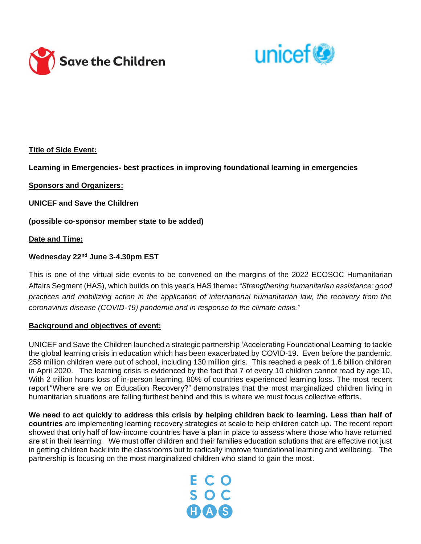



## **Title of Side Event:**

**Learning in Emergencies- best practices in improving foundational learning in emergencies**

**Sponsors and Organizers:**

**UNICEF and Save the Children**

**(possible co-sponsor member state to be added)**

**Date and Time:**

## **Wednesday 22nd June 3-4.30pm EST**

This is one of the virtual side events to be convened on the margins of the 2022 ECOSOC Humanitarian Affairs Segment (HAS), which builds on this year's HAS theme**:** *"Strengthening humanitarian assistance: good practices and mobilizing action in the application of international humanitarian law, the recovery from the coronavirus disease (COVID-19) pandemic and in response to the climate crisis."*

#### **Background and objectives of event:**

UNICEF and Save the Children launched a strategic partnership 'Accelerating Foundational Learning' to tackle the global learning crisis in education which has been exacerbated by COVID-19. Even before the pandemic, 258 million children were out of school, including 130 million girls. This reached a peak of 1.6 billion children in April 2020. The learning crisis is evidenced by the fact that 7 of every 10 children cannot read by age 10, With 2 trillion hours loss of in-person learning, 80% of countries experienced learning loss. The most recent repor[t "Where are we on Education Recovery?"](https://www.unicef.org/reports/where-are-we-education-recovery) demonstrates that the most marginalized children living in humanitarian situations are falling furthest behind and this is where we must focus collective efforts.

**We need to act quickly to address this crisis by helping children back to learning. Less than half of countries** are implementing learning recovery strategies at scale to help children catch up. The recent report showed that only half of low-income countries have a plan in place to assess where those who have returned are at in their learning.  We must offer children and their families education solutions that are effective not just in getting children back into the classrooms but to radically improve foundational learning and wellbeing. The partnership is focusing on the most marginalized children who stand to gain the most.

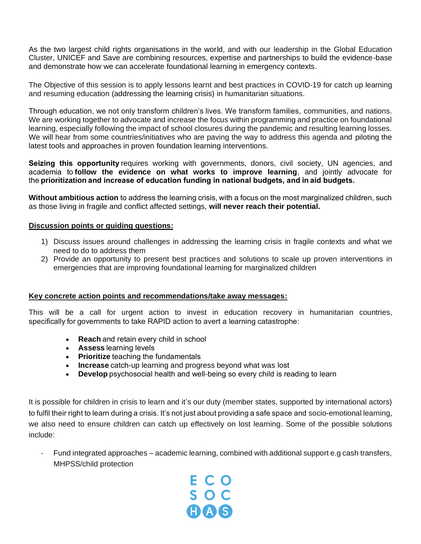As the two largest child rights organisations in the world, and with our leadership in the Global Education Cluster, UNICEF and Save are combining resources, expertise and partnerships to build the evidence-base and demonstrate how we can accelerate foundational learning in emergency contexts.

The Objective of this session is to apply lessons learnt and best practices in COVID-19 for catch up learning and resuming education (addressing the learning crisis) in humanitarian situations.

Through education, we not only transform children's lives. We transform families, communities, and nations. We are working together to advocate and increase the focus within programming and practice on foundational learning, especially following the impact of school closures during the pandemic and resulting learning losses. We will hear from some countries/initiatives who are paving the way to address this agenda and piloting the latest tools and approaches in proven foundation learning interventions.

Seizing this opportunity requires working with governments, donors, civil society, UN agencies, and academia to **follow the evidence on what works to improve learning**, and jointly advocate for the **prioritization and increase of education funding in national budgets, and in aid budgets.**

**Without ambitious action** to address the learning crisis, with a focus on the most marginalized children, such as those living in fragile and conflict affected settings, **will never reach their potential.**

### **Discussion points or guiding questions:**

- 1) Discuss issues around challenges in addressing the learning crisis in fragile contexts and what we need to do to address them
- 2) Provide an opportunity to present best practices and solutions to scale up proven interventions in emergencies that are improving foundational learning for marginalized children

#### **Key concrete action points and recommendations/take away messages:**

This will be a call for urgent action to invest in education recovery in humanitarian countries, specifically for governments to take RAPID action to avert a learning catastrophe:

- **Reach** and retain every child in school
- **Assess** learning levels
- **Prioritize** teaching the fundamentals
- **Increase** catch-up learning and progress beyond what was lost
- **Develop** psychosocial health and well-being so every child is reading to learn

It is possible for children in crisis to learn and it's our duty (member states, supported by international actors) to fulfil their right to learn during a crisis. It's not just about providing a safe space and socio-emotional learning, we also need to ensure children can catch up effectively on lost learning. Some of the possible solutions include:

- Fund integrated approaches – academic learning, combined with additional support e.g cash transfers, MHPSS/child protection

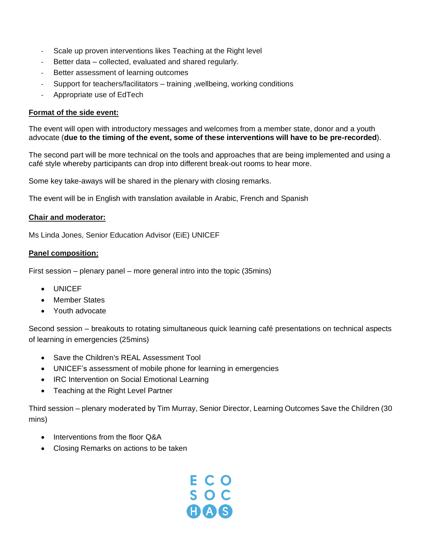- Scale up proven interventions likes Teaching at the Right level
- Better data collected, evaluated and shared regularly.
- Better assessment of learning outcomes
- Support for teachers/facilitators training ,wellbeing, working conditions
- Appropriate use of EdTech

## **Format of the side event:**

The event will open with introductory messages and welcomes from a member state, donor and a youth advocate (**due to the timing of the event, some of these interventions will have to be pre-recorded**).

The second part will be more technical on the tools and approaches that are being implemented and using a café style whereby participants can drop into different break-out rooms to hear more.

Some key take-aways will be shared in the plenary with closing remarks.

The event will be in English with translation available in Arabic, French and Spanish

## **Chair and moderator:**

Ms Linda Jones, Senior Education Advisor (EiE) UNICEF

### **Panel composition:**

First session – plenary panel – more general intro into the topic (35mins)

- UNICEF
- Member States
- Youth advocate

Second session – breakouts to rotating simultaneous quick learning café presentations on technical aspects of learning in emergencies (25mins)

- Save the Children's REAL Assessment Tool
- UNICEF's assessment of mobile phone for learning in emergencies
- IRC Intervention on Social Emotional Learning
- Teaching at the Right Level Partner

Third session – plenary moderated by Tim Murray, Senior Director, Learning Outcomes Save the Children (30 mins)

- Interventions from the floor Q&A
- Closing Remarks on actions to be taken